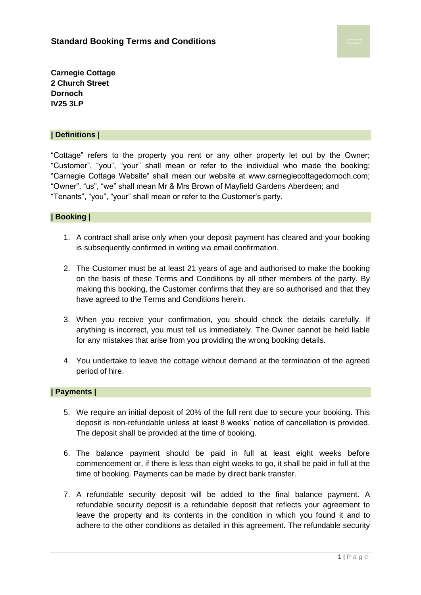**Carnegie Cottage 2 Church Street Dornoch IV25 3LP**

#### **| Definitions |**

"Cottage" refers to the property you rent or any other property let out by the Owner; "Customer", "you", "your" shall mean or refer to the individual who made the booking; "Carnegie Cottage Website" shall mean our website at www.carnegiecottagedornoch.com; "Owner", "us", "we" shall mean Mr & Mrs Brown of Mayfield Gardens Aberdeen; and "Tenants", "you", "your" shall mean or refer to the Customer's party.

## **| Booking |**

- 1. A contract shall arise only when your deposit payment has cleared and your booking is subsequently confirmed in writing via email confirmation.
- 2. The Customer must be at least 21 years of age and authorised to make the booking on the basis of these Terms and Conditions by all other members of the party. By making this booking, the Customer confirms that they are so authorised and that they have agreed to the Terms and Conditions herein.
- 3. When you receive your confirmation, you should check the details carefully. If anything is incorrect, you must tell us immediately. The Owner cannot be held liable for any mistakes that arise from you providing the wrong booking details.
- 4. You undertake to leave the cottage without demand at the termination of the agreed period of hire.

#### **| Payments |**

- 5. We require an initial deposit of 20% of the full rent due to secure your booking. This deposit is non-refundable unless at least 8 weeks' notice of cancellation is provided. The deposit shall be provided at the time of booking.
- 6. The balance payment should be paid in full at least eight weeks before commencement or, if there is less than eight weeks to go, it shall be paid in full at the time of booking. Payments can be made by direct bank transfer.
- 7. A refundable security deposit will be added to the final balance payment. A refundable security deposit is a refundable deposit that reflects your agreement to leave the property and its contents in the condition in which you found it and to adhere to the other conditions as detailed in this agreement. The refundable security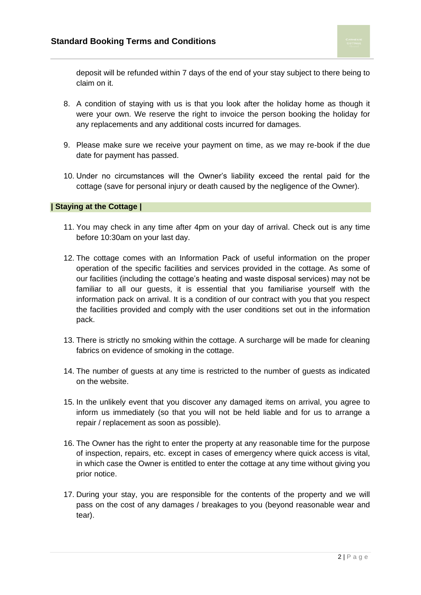deposit will be refunded within 7 days of the end of your stay subject to there being to claim on it.

- 8. A condition of staying with us is that you look after the holiday home as though it were your own. We reserve the right to invoice the person booking the holiday for any replacements and any additional costs incurred for damages.
- 9. Please make sure we receive your payment on time, as we may re-book if the due date for payment has passed.
- 10. Under no circumstances will the Owner's liability exceed the rental paid for the cottage (save for personal injury or death caused by the negligence of the Owner).

### **| Staying at the Cottage |**

- 11. You may check in any time after 4pm on your day of arrival. Check out is any time before 10:30am on your last day.
- 12. The cottage comes with an Information Pack of useful information on the proper operation of the specific facilities and services provided in the cottage. As some of our facilities (including the cottage's heating and waste disposal services) may not be familiar to all our guests, it is essential that you familiarise yourself with the information pack on arrival. It is a condition of our contract with you that you respect the facilities provided and comply with the user conditions set out in the information pack.
- 13. There is strictly no smoking within the cottage. A surcharge will be made for cleaning fabrics on evidence of smoking in the cottage.
- 14. The number of guests at any time is restricted to the number of guests as indicated on the website.
- 15. In the unlikely event that you discover any damaged items on arrival, you agree to inform us immediately (so that you will not be held liable and for us to arrange a repair / replacement as soon as possible).
- 16. The Owner has the right to enter the property at any reasonable time for the purpose of inspection, repairs, etc. except in cases of emergency where quick access is vital, in which case the Owner is entitled to enter the cottage at any time without giving you prior notice.
- 17. During your stay, you are responsible for the contents of the property and we will pass on the cost of any damages / breakages to you (beyond reasonable wear and tear).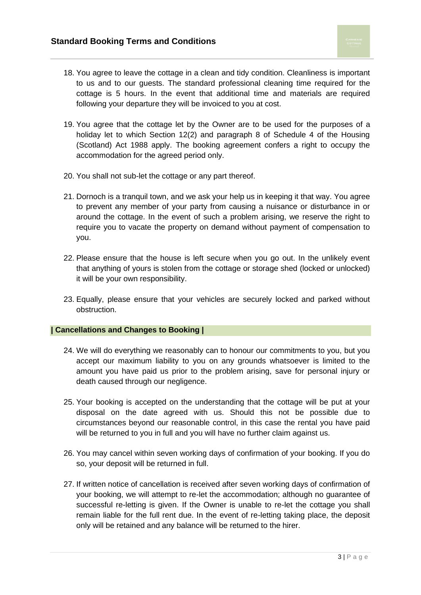- 18. You agree to leave the cottage in a clean and tidy condition. Cleanliness is important to us and to our guests. The standard professional cleaning time required for the cottage is 5 hours. In the event that additional time and materials are required following your departure they will be invoiced to you at cost.
- 19. You agree that the cottage let by the Owner are to be used for the purposes of a holiday let to which Section 12(2) and paragraph 8 of Schedule 4 of the Housing (Scotland) Act 1988 apply. The booking agreement confers a right to occupy the accommodation for the agreed period only.
- 20. You shall not sub-let the cottage or any part thereof.
- 21. Dornoch is a tranquil town, and we ask your help us in keeping it that way. You agree to prevent any member of your party from causing a nuisance or disturbance in or around the cottage. In the event of such a problem arising, we reserve the right to require you to vacate the property on demand without payment of compensation to you.
- 22. Please ensure that the house is left secure when you go out. In the unlikely event that anything of yours is stolen from the cottage or storage shed (locked or unlocked) it will be your own responsibility.
- 23. Equally, please ensure that your vehicles are securely locked and parked without obstruction.

## **| Cancellations and Changes to Booking |**

- 24. We will do everything we reasonably can to honour our commitments to you, but you accept our maximum liability to you on any grounds whatsoever is limited to the amount you have paid us prior to the problem arising, save for personal injury or death caused through our negligence.
- 25. Your booking is accepted on the understanding that the cottage will be put at your disposal on the date agreed with us. Should this not be possible due to circumstances beyond our reasonable control, in this case the rental you have paid will be returned to you in full and you will have no further claim against us.
- 26. You may cancel within seven working days of confirmation of your booking. If you do so, your deposit will be returned in full.
- 27. If written notice of cancellation is received after seven working days of confirmation of your booking, we will attempt to re-let the accommodation; although no guarantee of successful re-letting is given. If the Owner is unable to re-let the cottage you shall remain liable for the full rent due. In the event of re-letting taking place, the deposit only will be retained and any balance will be returned to the hirer.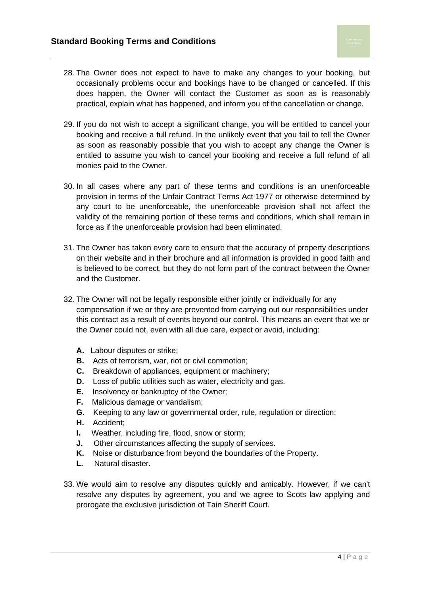- 28. The Owner does not expect to have to make any changes to your booking, but occasionally problems occur and bookings have to be changed or cancelled. If this does happen, the Owner will contact the Customer as soon as is reasonably practical, explain what has happened, and inform you of the cancellation or change.
- 29. If you do not wish to accept a significant change, you will be entitled to cancel your booking and receive a full refund. In the unlikely event that you fail to tell the Owner as soon as reasonably possible that you wish to accept any change the Owner is entitled to assume you wish to cancel your booking and receive a full refund of all monies paid to the Owner.
- 30. In all cases where any part of these terms and conditions is an unenforceable provision in terms of the Unfair Contract Terms Act 1977 or otherwise determined by any court to be unenforceable, the unenforceable provision shall not affect the validity of the remaining portion of these terms and conditions, which shall remain in force as if the unenforceable provision had been eliminated.
- 31. The Owner has taken every care to ensure that the accuracy of property descriptions on their website and in their brochure and all information is provided in good faith and is believed to be correct, but they do not form part of the contract between the Owner and the Customer.
- 32. The Owner will not be legally responsible either jointly or individually for any compensation if we or they are prevented from carrying out our responsibilities under this contract as a result of events beyond our control. This means an event that we or the Owner could not, even with all due care, expect or avoid, including:
	- **A.** Labour disputes or strike;
	- **B.** Acts of terrorism, war, riot or civil commotion;
	- **C.** Breakdown of appliances, equipment or machinery;
	- **D.** Loss of public utilities such as water, electricity and gas.
	- **E.** Insolvency or bankruptcy of the Owner;
	- **F.** Malicious damage or vandalism;
	- **G.** Keeping to any law or governmental order, rule, regulation or direction;
	- **H.** Accident;
	- **I.** Weather, including fire, flood, snow or storm;
	- **J.** Other circumstances affecting the supply of services.
	- **K.** Noise or disturbance from beyond the boundaries of the Property.
	- **L.** Natural disaster.
- 33. We would aim to resolve any disputes quickly and amicably. However, if we can't resolve any disputes by agreement, you and we agree to Scots law applying and prorogate the exclusive jurisdiction of Tain Sheriff Court.